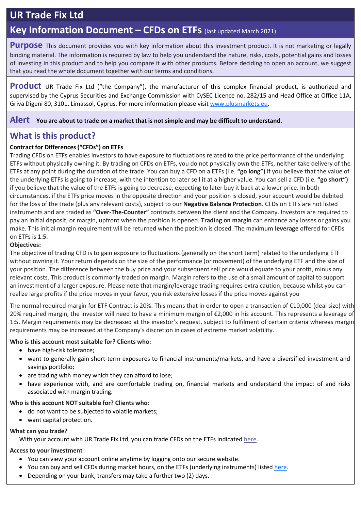# **UR Trade Fix Ltd**

## **Key Information Document – CFDs on ETFs** (last updated March 2021)

**Purpose** This document provides you with key information about this investment product. It is not marketing or legally binding material. The information is required by law to help you understand the nature, risks, costs, potential gains and losses of investing in this product and to help you compare it with other products. Before deciding to open an account, we suggest that you read the whole document together with our terms and conditions.

**Product** UR Trade Fix Ltd ("the Company"), the manufacturer of this complex financial product, is authorized and supervised by the Cyprus Securities and Exchange Commission with CySEC Licence no. 282/15 and Head Office at Office 11A, Griva Digeni 80, 3101, Limassol, Cyprus. For more information please visit www.plusmarkets.eu.

**Alert You are about to trade on <sup>a</sup> market that is not simple and may be difficult to understand.**

## **What is this product?**

### **Contract for Differences ("CFDs") on ETFs**

Trading CFDs on ETFs enables investors to have exposure to fluctuations related to the price performance of the underlying ETFs without physically owning it. By trading on CFDs on ETFs, you do not physically own the ETFs, neither take delivery of the ETFs at any point during the duration of the trade. You can buy a CFD on a ETFs (i.e. **"go long")** if you believe that the value of the underlying ETFs is going to increase, with the intention to later sell it at a higher value. You can sell a CFD (i.e. **"go short")** if you believe that the value of the ETFs is going to decrease, expecting to later buy it back at a lower price. In both circumstances, if the ETFs price moves in the opposite direction and your position is closed, your account would be debited for the loss of the trade (plus any relevant costs), subject to our **Negative Balance Protection**. CFDs on ETFs are not listed instruments and are traded as **"Over-The-Counter"** contracts between the client and the Company. Investors are required to pay an initial deposit, or margin, upfront when the position is opened. **Trading on margin** can enhance any losses or gains you make. This initial margin requirement will be returned when the position is closed. The maximum **leverage** offered for CFDs on ETFs is 1:5.

#### **Objectives:**

The objective of trading CFD is to gain exposure to fluctuations (generally on the short term) related to the underlying ETF without owning it. Your return depends on the size of the performance (or movement) of the underlying ETF and the size of your position. The difference between the buy price and your subsequent sell price would equate to your profit, minus any relevant costs. This product is commonly traded on margin. Margin refers to the use of a small amount of capital to support an investment of a larger exposure. Please note that margin/leverage trading requires extra caution, because whilst you can realize large profits if the price moves in your favor, you risk extensive losses if the price moves against you

The normal required margin for ETF Contract is 20%. This means that in order to open a transaction of €10,000 (deal size) with 20% required margin, the investor will need to have a minimum margin of €2,000 in his account. This represents a leverage of 1:5. Margin requirements may be decreased at the investor's request, subject to fulfilment of certain criteria whereas margin requirements may be increased at the Company's discretion in cases of extreme market volatility.

#### **Who is this account most suitable for? Clients who:**

- have high-risk tolerance;
- want to generally gain short-term exposures to financial instruments/markets, and have a diversified investment and savings portfolio;
- are trading with money which they can afford to lose;
- have experience with, and are comfortable trading on, financial markets and understand the impact of and risks associated with margin trading.

#### **Who is this account NOT suitable for? Clients who:**

- do not want to be subjected to volatile markets;
- want capital protection.

#### **What can you trade?**

With your account with UR Trade Fix Ltd, you can trade CFDs on the ETFs indicated [here.](https://plusmarkets.eu/misc/docs/EN/Contract_Specifications_EN.pdf)

#### **Access to your investment**

- You can view your account online anytime by logging onto our secure website.
- You can buy and sell CFDs during market hours, on the ETFs (underlying instruments) listed [here.](https://plusmarkets.eu/misc/docs/EN/Contract_Specifications_EN.pdf)
- Depending on your bank, transfers may take a further two (2) days.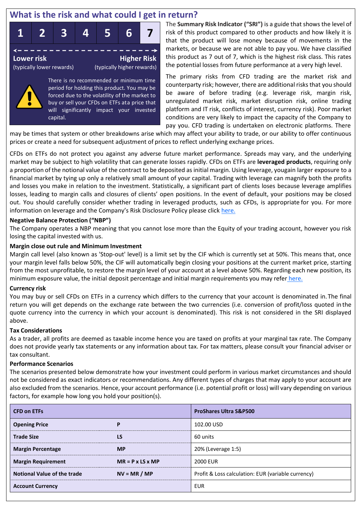## **What is the risk and what could I get in return?**

buy or sell your CFDs on ETFs ata price that will significantly impact your invested



The **Summary Risk Indicator ("SRI")** is a guide that shows the level of risk of this product compared to other products and how likely it is that the product will lose money because of movements in the markets, or because we are not able to pay you. We have classified this product as 7 out of 7, which is the highest risk class. This rates the potential losses from future performance at a very high level.

The primary risks from CFD trading are the market risk and counterparty risk; however, there are additional risksthat you should be aware of before trading (e.g. leverage risk, margin risk, unregulated market risk, market disruption risk, online trading platform and IT risk, conflicts of interest, currency risk). Poor market conditions are very likely to impact the capacity of the Company to pay you. CFD trading is undertaken on electronic platforms. There

may be times that system or other breakdowns arise which may affect your ability to trade, or our ability to offer continuous prices or create a need forsubsequent adjustment of prices to reflect underlying exchange prices.

CFDs on ETFs do not protect you against any adverse future market performance. Spreads may vary, and the underlying market may be subject to high volatility that can generate losses rapidly. CFDs on ETFs are **leveraged products**, requiring only a proportion of the notional value of the contract to be deposited asinitial margin. Using leverage, yougain larger exposure to a financial market by tying up only a relatively small amount of your capital. Trading with leverage can magnify both the profits and losses you make in relation to the investment. Statistically, a significant part of clients loses because leverage amplifies losses, leading to margin calls and closures of clients' open positions. In the event of default, your positions may be closed out. You should carefully consider whether trading in leveraged products, such as CFDs, is appropriate for you. For more information on leverage and the Company's Risk Disclosure Policy please click [here.](https://plusmarkets.eu/misc/docs/EN/Risk_Disclosure_EN.pdf)

### **Negative Balance Protection ("NBP")**

capital.

The Company operates a NBP meaning that you cannot lose more than the Equity of your trading account, however you risk losing the capital invested with us.

### **Margin close out rule and Minimum Investment**

Margin call level (also known as 'Stop-out' level) is a limit set by the CIF which is currently set at 50%. This means that, once your margin level falls below 50%, the CIF will automatically begin closing your positions at the current market price, starting from the most unprofitable, to restore the margin level of your account at a level above 50%. Regarding each new position, its minimum exposure value, the initial deposit percentage and initial margin requirements you may refer [here.](https://plusmarkets.eu/misc/docs/EN/Contract_Specifications_EN.pdf)

### **Currency risk**

You may buy or sell CFDs on ETFs in a currency which differs to the currency that your account is denominated in.The final return you will get depends on the exchange rate between the two currencies (i.e. conversion of profit/loss quoted in the quote currency into the currency in which your account is denominated). This risk is not considered in the SRI displayed above.

### **Tax Considerations**

As a trader, all profits are deemed as taxable income hence you are taxed on profits at your marginal tax rate. The Company does not provide yearly tax statements or any information about tax. For tax matters, please consult your financial adviser or tax consultant.

### **Performance Scenarios**

The scenarios presented below demonstrate how your investment could perform in various market circumstances and should not be considered as exact indicators or recommendations. Any different types of charges that may apply to your account are also excluded from the scenarios. Hence, your account performance (i.e. potential profit or loss) will vary depending on various factors, for example how long you hold your position(s).

| <b>CFD on ETFs</b>                 |                              | <b>ProShares Ultra S&amp;P500</b>                  |  |  |
|------------------------------------|------------------------------|----------------------------------------------------|--|--|
| <b>Opening Price</b>               | P                            | 102.00 USD                                         |  |  |
| <b>Trade Size</b>                  | LS                           | 60 units                                           |  |  |
| <b>Margin Percentage</b>           | <b>MP</b>                    | 20% (Leverage 1:5)                                 |  |  |
| <b>Margin Requirement</b>          | $MR = P \times LS \times MP$ | <b>2000 EUR</b>                                    |  |  |
| <b>Notional Value of the trade</b> | $NV = MR / MP$               | Profit & Loss calculation: EUR (variable currency) |  |  |
| <b>Account Currency</b>            |                              | <b>EUR</b>                                         |  |  |